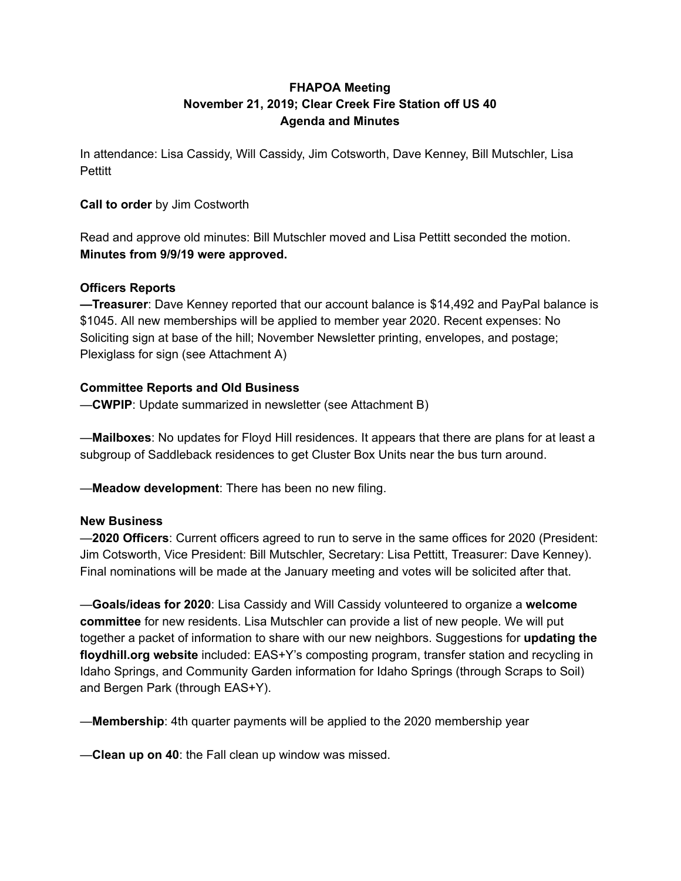## **FHAPOA Meeting November 21, 2019; Clear Creek Fire Station off US 40 Agenda and Minutes**

In attendance: Lisa Cassidy, Will Cassidy, Jim Cotsworth, Dave Kenney, Bill Mutschler, Lisa Pettitt

### **Call to order** by Jim Costworth

Read and approve old minutes: Bill Mutschler moved and Lisa Pettitt seconded the motion. **Minutes from 9/9/19 were approved.**

### **Officers Reports**

**—Treasurer**: Dave Kenney reported that our account balance is \$14,492 and PayPal balance is \$1045. All new memberships will be applied to member year 2020. Recent expenses: No Soliciting sign at base of the hill; November Newsletter printing, envelopes, and postage; Plexiglass for sign (see Attachment A)

### **Committee Reports and Old Business**

—**CWPIP**: Update summarized in newsletter (see Attachment B)

—**Mailboxes**: No updates for Floyd Hill residences. It appears that there are plans for at least a subgroup of Saddleback residences to get Cluster Box Units near the bus turn around.

—**Meadow development**: There has been no new filing.

#### **New Business**

—**2020 Officers**: Current officers agreed to run to serve in the same offices for 2020 (President: Jim Cotsworth, Vice President: Bill Mutschler, Secretary: Lisa Pettitt, Treasurer: Dave Kenney). Final nominations will be made at the January meeting and votes will be solicited after that.

—**Goals/ideas for 2020**: Lisa Cassidy and Will Cassidy volunteered to organize a **welcome committee** for new residents. Lisa Mutschler can provide a list of new people. We will put together a packet of information to share with our new neighbors. Suggestions for **updating the floydhill.org website** included: EAS+Y's composting program, transfer station and recycling in Idaho Springs, and Community Garden information for Idaho Springs (through Scraps to Soil) and Bergen Park (through EAS+Y).

—**Membership**: 4th quarter payments will be applied to the 2020 membership year

—**Clean up on 40**: the Fall clean up window was missed.